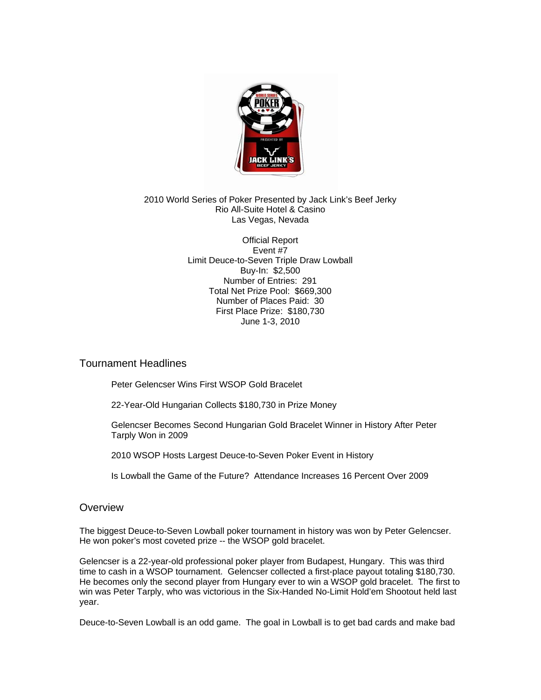

#### 2010 World Series of Poker Presented by Jack Link's Beef Jerky Rio All-Suite Hotel & Casino Las Vegas, Nevada

Official Report Event #7 Limit Deuce-to-Seven Triple Draw Lowball Buy-In: \$2,500 Number of Entries: 291 Total Net Prize Pool: \$669,300 Number of Places Paid: 30 First Place Prize: \$180,730 June 1-3, 2010

# Tournament Headlines

Peter Gelencser Wins First WSOP Gold Bracelet

22-Year-Old Hungarian Collects \$180,730 in Prize Money

Gelencser Becomes Second Hungarian Gold Bracelet Winner in History After Peter Tarply Won in 2009

2010 WSOP Hosts Largest Deuce-to-Seven Poker Event in History

Is Lowball the Game of the Future? Attendance Increases 16 Percent Over 2009

# **Overview**

The biggest Deuce-to-Seven Lowball poker tournament in history was won by Peter Gelencser. He won poker's most coveted prize -- the WSOP gold bracelet.

Gelencser is a 22-year-old professional poker player from Budapest, Hungary. This was third time to cash in a WSOP tournament. Gelencser collected a first-place payout totaling \$180,730. He becomes only the second player from Hungary ever to win a WSOP gold bracelet. The first to win was Peter Tarply, who was victorious in the Six-Handed No-Limit Hold'em Shootout held last year.

Deuce-to-Seven Lowball is an odd game. The goal in Lowball is to get bad cards and make bad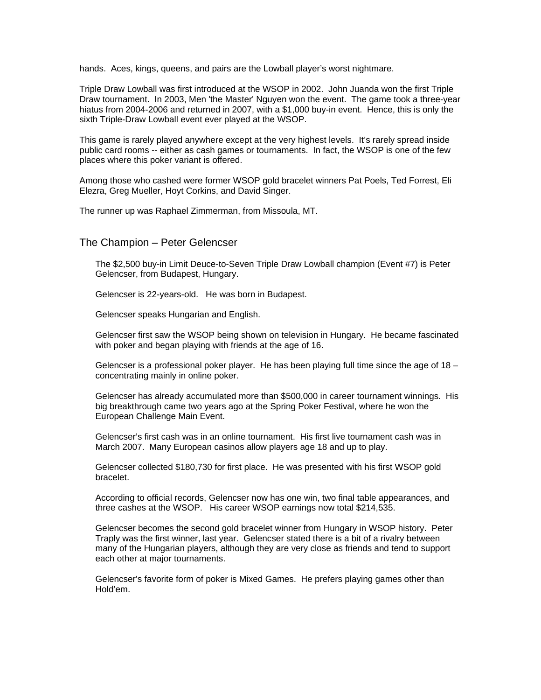hands. Aces, kings, queens, and pairs are the Lowball player's worst nightmare.

Triple Draw Lowball was first introduced at the WSOP in 2002. John Juanda won the first Triple Draw tournament. In 2003, Men 'the Master' Nguyen won the event. The game took a three-year hiatus from 2004-2006 and returned in 2007, with a \$1,000 buy-in event. Hence, this is only the sixth Triple-Draw Lowball event ever played at the WSOP.

This game is rarely played anywhere except at the very highest levels. It's rarely spread inside public card rooms -- either as cash games or tournaments. In fact, the WSOP is one of the few places where this poker variant is offered.

Among those who cashed were former WSOP gold bracelet winners Pat Poels, Ted Forrest, Eli Elezra, Greg Mueller, Hoyt Corkins, and David Singer.

The runner up was Raphael Zimmerman, from Missoula, MT.

## The Champion – Peter Gelencser

The \$2,500 buy-in Limit Deuce-to-Seven Triple Draw Lowball champion (Event #7) is Peter Gelencser, from Budapest, Hungary.

Gelencser is 22-years-old. He was born in Budapest.

Gelencser speaks Hungarian and English.

Gelencser first saw the WSOP being shown on television in Hungary. He became fascinated with poker and began playing with friends at the age of 16.

Gelencser is a professional poker player. He has been playing full time since the age of  $18$ concentrating mainly in online poker.

Gelencser has already accumulated more than \$500,000 in career tournament winnings. His big breakthrough came two years ago at the Spring Poker Festival, where he won the European Challenge Main Event.

Gelencser's first cash was in an online tournament. His first live tournament cash was in March 2007. Many European casinos allow players age 18 and up to play.

Gelencser collected \$180,730 for first place. He was presented with his first WSOP gold bracelet.

According to official records, Gelencser now has one win, two final table appearances, and three cashes at the WSOP. His career WSOP earnings now total \$214,535.

Gelencser becomes the second gold bracelet winner from Hungary in WSOP history. Peter Traply was the first winner, last year. Gelencser stated there is a bit of a rivalry between many of the Hungarian players, although they are very close as friends and tend to support each other at major tournaments.

Gelencser's favorite form of poker is Mixed Games. He prefers playing games other than Hold'em.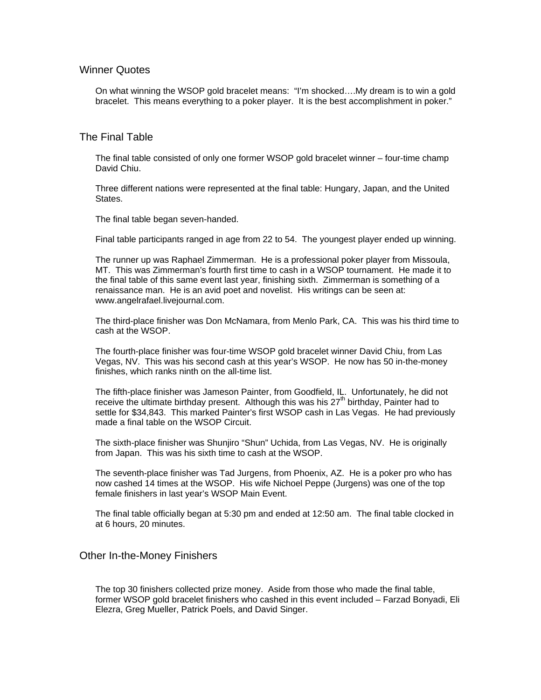## Winner Quotes

On what winning the WSOP gold bracelet means: "I'm shocked….My dream is to win a gold bracelet. This means everything to a poker player. It is the best accomplishment in poker."

### The Final Table

The final table consisted of only one former WSOP gold bracelet winner – four-time champ David Chiu.

Three different nations were represented at the final table: Hungary, Japan, and the United States.

The final table began seven-handed.

Final table participants ranged in age from 22 to 54. The youngest player ended up winning.

The runner up was Raphael Zimmerman. He is a professional poker player from Missoula, MT. This was Zimmerman's fourth first time to cash in a WSOP tournament. He made it to the final table of this same event last year, finishing sixth. Zimmerman is something of a renaissance man. He is an avid poet and novelist. His writings can be seen at: www.angelrafael.livejournal.com.

The third-place finisher was Don McNamara, from Menlo Park, CA. This was his third time to cash at the WSOP.

The fourth-place finisher was four-time WSOP gold bracelet winner David Chiu, from Las Vegas, NV. This was his second cash at this year's WSOP. He now has 50 in-the-money finishes, which ranks ninth on the all-time list.

The fifth-place finisher was Jameson Painter, from Goodfield, IL. Unfortunately, he did not receive the ultimate birthday present. Although this was his  $27<sup>th</sup>$  birthday, Painter had to settle for \$34,843. This marked Painter's first WSOP cash in Las Vegas. He had previously made a final table on the WSOP Circuit.

The sixth-place finisher was Shunjiro "Shun" Uchida, from Las Vegas, NV. He is originally from Japan. This was his sixth time to cash at the WSOP.

The seventh-place finisher was Tad Jurgens, from Phoenix, AZ. He is a poker pro who has now cashed 14 times at the WSOP. His wife Nichoel Peppe (Jurgens) was one of the top female finishers in last year's WSOP Main Event.

The final table officially began at 5:30 pm and ended at 12:50 am. The final table clocked in at 6 hours, 20 minutes.

#### Other In-the-Money Finishers

The top 30 finishers collected prize money. Aside from those who made the final table, former WSOP gold bracelet finishers who cashed in this event included – Farzad Bonyadi, Eli Elezra, Greg Mueller, Patrick Poels, and David Singer.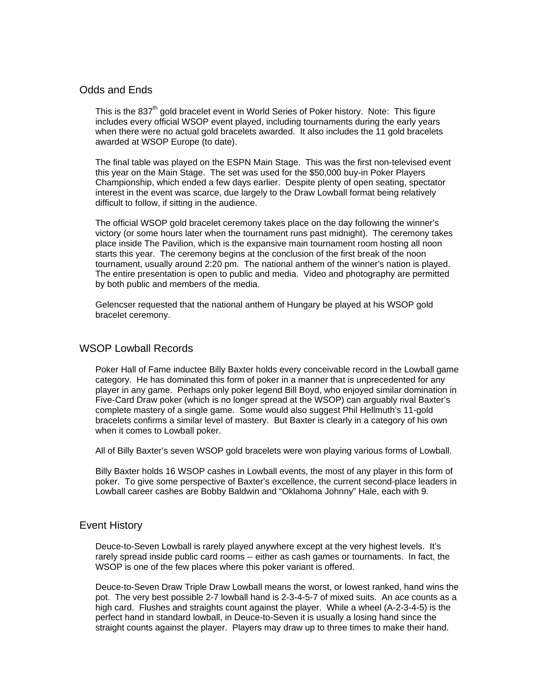# Odds and Ends

This is the 837<sup>th</sup> gold bracelet event in World Series of Poker history. Note: This figure includes every official WSOP event played, including tournaments during the early years when there were no actual gold bracelets awarded. It also includes the 11 gold bracelets awarded at WSOP Europe (to date).

The final table was played on the ESPN Main Stage. This was the first non-televised event this year on the Main Stage. The set was used for the \$50,000 buy-in Poker Players Championship, which ended a few days earlier. Despite plenty of open seating, spectator interest in the event was scarce, due largely to the Draw Lowball format being relatively difficult to follow, if sitting in the audience.

The official WSOP gold bracelet ceremony takes place on the day following the winner's victory (or some hours later when the tournament runs past midnight). The ceremony takes place inside The Pavilion, which is the expansive main tournament room hosting all noon starts this year. The ceremony begins at the conclusion of the first break of the noon tournament, usually around 2:20 pm. The national anthem of the winner's nation is played. The entire presentation is open to public and media. Video and photography are permitted by both public and members of the media.

Gelencser requested that the national anthem of Hungary be played at his WSOP gold bracelet ceremony.

### WSOP Lowball Records

Poker Hall of Fame inductee Billy Baxter holds every conceivable record in the Lowball game category. He has dominated this form of poker in a manner that is unprecedented for any player in any game. Perhaps only poker legend Bill Boyd, who enjoyed similar domination in Five-Card Draw poker (which is no longer spread at the WSOP) can arguably rival Baxter's complete mastery of a single game. Some would also suggest Phil Hellmuth's 11-gold bracelets confirms a similar level of mastery. But Baxter is clearly in a category of his own when it comes to Lowball poker.

All of Billy Baxter's seven WSOP gold bracelets were won playing various forms of Lowball.

Billy Baxter holds 16 WSOP cashes in Lowball events, the most of any player in this form of poker. To give some perspective of Baxter's excellence, the current second-place leaders in Lowball career cashes are Bobby Baldwin and "Oklahoma Johnny" Hale, each with 9.

#### Event History

Deuce-to-Seven Lowball is rarely played anywhere except at the very highest levels. It's rarely spread inside public card rooms -- either as cash games or tournaments. In fact, the WSOP is one of the few places where this poker variant is offered.

Deuce-to-Seven Draw Triple Draw Lowball means the worst, or lowest ranked, hand wins the pot. The very best possible 2-7 lowball hand is 2-3-4-5-7 of mixed suits. An ace counts as a high card. Flushes and straights count against the player. While a wheel (A-2-3-4-5) is the perfect hand in standard lowball, in Deuce-to-Seven it is usually a losing hand since the straight counts against the player. Players may draw up to three times to make their hand.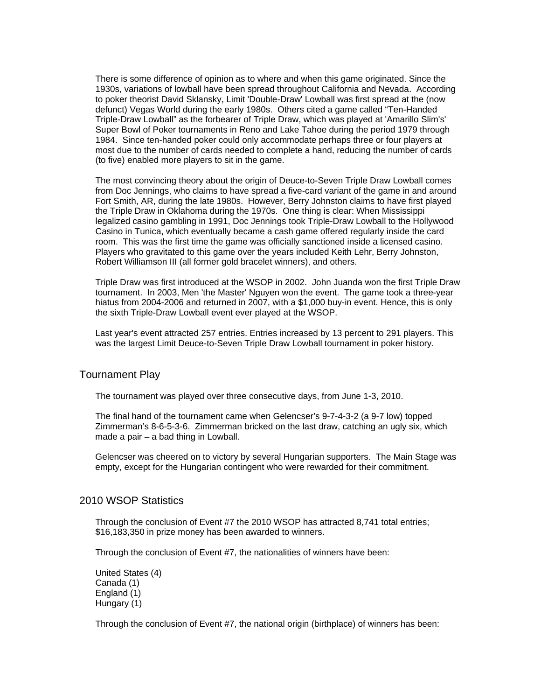There is some difference of opinion as to where and when this game originated. Since the 1930s, variations of lowball have been spread throughout California and Nevada. According to poker theorist David Sklansky, Limit 'Double-Draw' Lowball was first spread at the (now defunct) Vegas World during the early 1980s. Others cited a game called "Ten-Handed Triple-Draw Lowball" as the forbearer of Triple Draw, which was played at 'Amarillo Slim's' Super Bowl of Poker tournaments in Reno and Lake Tahoe during the period 1979 through 1984. Since ten-handed poker could only accommodate perhaps three or four players at most due to the number of cards needed to complete a hand, reducing the number of cards (to five) enabled more players to sit in the game.

The most convincing theory about the origin of Deuce-to-Seven Triple Draw Lowball comes from Doc Jennings, who claims to have spread a five-card variant of the game in and around Fort Smith, AR, during the late 1980s. However, Berry Johnston claims to have first played the Triple Draw in Oklahoma during the 1970s. One thing is clear: When Mississippi legalized casino gambling in 1991, Doc Jennings took Triple-Draw Lowball to the Hollywood Casino in Tunica, which eventually became a cash game offered regularly inside the card room. This was the first time the game was officially sanctioned inside a licensed casino. Players who gravitated to this game over the years included Keith Lehr, Berry Johnston, Robert Williamson III (all former gold bracelet winners), and others.

Triple Draw was first introduced at the WSOP in 2002. John Juanda won the first Triple Draw tournament. In 2003, Men 'the Master' Nguyen won the event. The game took a three-year hiatus from 2004-2006 and returned in 2007, with a \$1,000 buy-in event. Hence, this is only the sixth Triple-Draw Lowball event ever played at the WSOP.

Last year's event attracted 257 entries. Entries increased by 13 percent to 291 players. This was the largest Limit Deuce-to-Seven Triple Draw Lowball tournament in poker history.

#### Tournament Play

The tournament was played over three consecutive days, from June 1-3, 2010.

The final hand of the tournament came when Gelencser's 9-7-4-3-2 (a 9-7 low) topped Zimmerman's 8-6-5-3-6. Zimmerman bricked on the last draw, catching an ugly six, which made a pair – a bad thing in Lowball.

Gelencser was cheered on to victory by several Hungarian supporters. The Main Stage was empty, except for the Hungarian contingent who were rewarded for their commitment.

## 2010 WSOP Statistics

Through the conclusion of Event #7 the 2010 WSOP has attracted 8,741 total entries; \$16,183,350 in prize money has been awarded to winners.

Through the conclusion of Event #7, the nationalities of winners have been:

United States (4) Canada (1) England (1) Hungary (1)

Through the conclusion of Event #7, the national origin (birthplace) of winners has been: